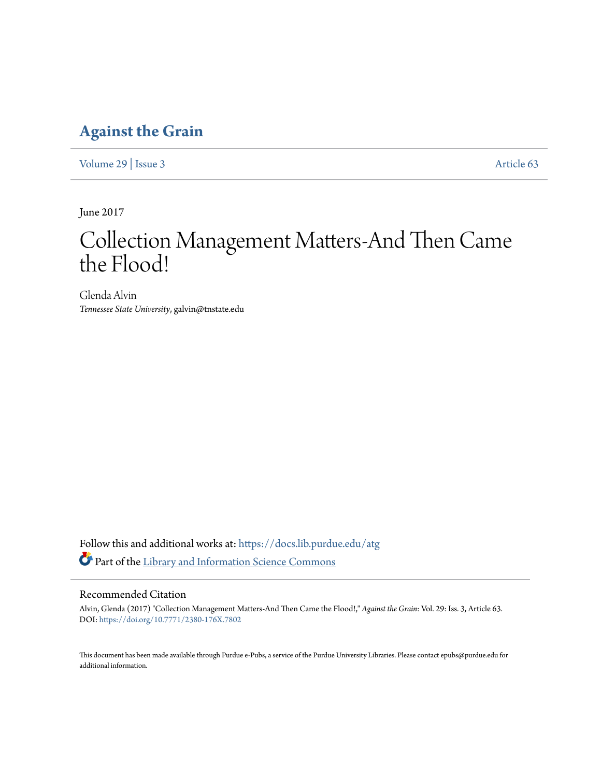### **[Against the Grain](https://docs.lib.purdue.edu/atg?utm_source=docs.lib.purdue.edu%2Fatg%2Fvol29%2Fiss3%2F63&utm_medium=PDF&utm_campaign=PDFCoverPages)**

[Volume 29](https://docs.lib.purdue.edu/atg/vol29?utm_source=docs.lib.purdue.edu%2Fatg%2Fvol29%2Fiss3%2F63&utm_medium=PDF&utm_campaign=PDFCoverPages) | [Issue 3](https://docs.lib.purdue.edu/atg/vol29/iss3?utm_source=docs.lib.purdue.edu%2Fatg%2Fvol29%2Fiss3%2F63&utm_medium=PDF&utm_campaign=PDFCoverPages) [Article 63](https://docs.lib.purdue.edu/atg/vol29/iss3/63?utm_source=docs.lib.purdue.edu%2Fatg%2Fvol29%2Fiss3%2F63&utm_medium=PDF&utm_campaign=PDFCoverPages)

June 2017

## Collection Management Matters-And Then Came the Flood!

Glenda Alvin *Tennessee State University*, galvin@tnstate.edu

Follow this and additional works at: [https://docs.lib.purdue.edu/atg](https://docs.lib.purdue.edu/atg?utm_source=docs.lib.purdue.edu%2Fatg%2Fvol29%2Fiss3%2F63&utm_medium=PDF&utm_campaign=PDFCoverPages) Part of the [Library and Information Science Commons](http://network.bepress.com/hgg/discipline/1018?utm_source=docs.lib.purdue.edu%2Fatg%2Fvol29%2Fiss3%2F63&utm_medium=PDF&utm_campaign=PDFCoverPages)

### Recommended Citation

Alvin, Glenda (2017) "Collection Management Matters-And Then Came the Flood!," *Against the Grain*: Vol. 29: Iss. 3, Article 63. DOI: <https://doi.org/10.7771/2380-176X.7802>

This document has been made available through Purdue e-Pubs, a service of the Purdue University Libraries. Please contact epubs@purdue.edu for additional information.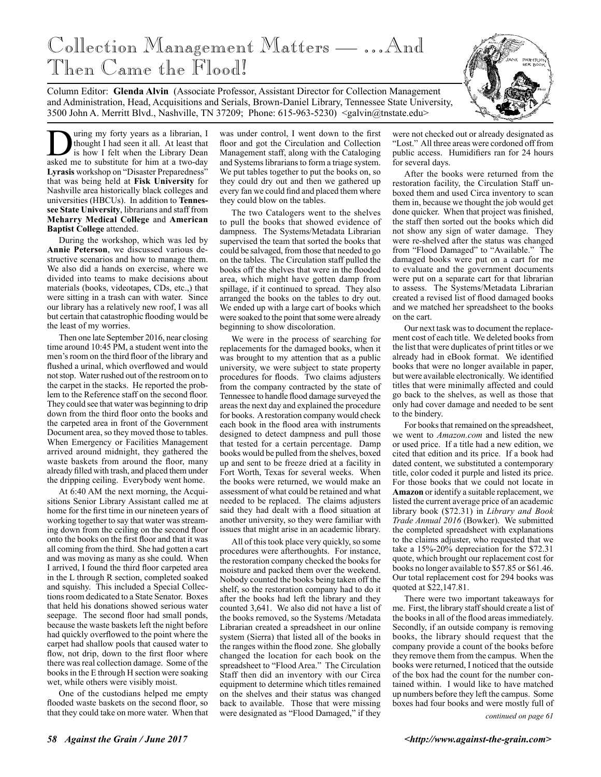# Collection Management Matters — …And Then Came the Flood!



Column Editor: **Glenda Alvin** (Associate Professor, Assistant Director for Collection Management and Administration, Head, Acquisitions and Serials, Brown-Daniel Library, Tennessee State University, 3500 John A. Merritt Blvd., Nashville, TN 37209; Phone: 615-963-5230) <galvin@tnstate.edu>

**During my forty years as a librarian, I** thought I had seen it all. At least that is how I felt when the Library Dean asked me to substitute for him at a two-day thought I had seen it all. At least that is how I felt when the Library Dean **Lyrasis** workshop on "Disaster Preparedness" that was being held at **Fisk University** for Nashville area historically black colleges and universities (HBCUs). In addition to **Tennessee State University**, librarians and staff from **Meharry Medical College** and **American Baptist College** attended.

During the workshop, which was led by **Annie Peterson**, we discussed various destructive scenarios and how to manage them. We also did a hands on exercise, where we divided into teams to make decisions about materials (books, videotapes, CDs, etc.,) that were sitting in a trash can with water. Since our library has a relatively new roof, I was all but certain that catastrophic flooding would be the least of my worries.

Then one late September 2016, near closing time around 10:45 PM, a student went into the men's room on the third floor of the library and flushed a urinal, which overflowed and would not stop. Water rushed out of the restroom on to the carpet in the stacks. He reported the problem to the Reference staff on the second floor. They could see that water was beginning to drip down from the third floor onto the books and the carpeted area in front of the Government Document area, so they moved those to tables. When Emergency or Facilities Management arrived around midnight, they gathered the waste baskets from around the floor, many already filled with trash, and placed them under the dripping ceiling. Everybody went home.

At 6:40 AM the next morning, the Acquisitions Senior Library Assistant called me at home for the first time in our nineteen years of working together to say that water was streaming down from the ceiling on the second floor onto the books on the first floor and that it was all coming from the third. She had gotten a cart and was moving as many as she could. When I arrived, I found the third floor carpeted area in the L through R section, completed soaked and squishy. This included a Special Collections room dedicated to a State Senator. Boxes that held his donations showed serious water seepage. The second floor had small ponds, because the waste baskets left the night before had quickly overflowed to the point where the carpet had shallow pools that caused water to flow, not drip, down to the first floor where there was real collection damage. Some of the books in the E through H section were soaking wet, while others were visibly moist.

One of the custodians helped me empty flooded waste baskets on the second floor, so that they could take on more water. When that

was under control, I went down to the first floor and got the Circulation and Collection Management staff, along with the Cataloging and Systems librarians to form a triage system. We put tables together to put the books on, so they could dry out and then we gathered up every fan we could find and placed them where they could blow on the tables.

The two Catalogers went to the shelves to pull the books that showed evidence of dampness. The Systems/Metadata Librarian supervised the team that sorted the books that could be salvaged, from those that needed to go on the tables. The Circulation staff pulled the books off the shelves that were in the flooded area, which might have gotten damp from spillage, if it continued to spread. They also arranged the books on the tables to dry out. We ended up with a large cart of books which were soaked to the point that some were already beginning to show discoloration.

We were in the process of searching for replacements for the damaged books, when it was brought to my attention that as a public university, we were subject to state property procedures for floods. Two claims adjusters from the company contracted by the state of Tennessee to handle flood damage surveyed the areas the next day and explained the procedure for books. A restoration company would check each book in the flood area with instruments designed to detect dampness and pull those that tested for a certain percentage. Damp books would be pulled from the shelves, boxed up and sent to be freeze dried at a facility in Fort Worth, Texas for several weeks. When the books were returned, we would make an assessment of what could be retained and what needed to be replaced. The claims adjusters said they had dealt with a flood situation at another university, so they were familiar with issues that might arise in an academic library.

All of this took place very quickly, so some procedures were afterthoughts. For instance, the restoration company checked the books for moisture and packed them over the weekend. Nobody counted the books being taken off the shelf, so the restoration company had to do it after the books had left the library and they counted 3,641. We also did not have a list of the books removed, so the Systems /Metadata Librarian created a spreadsheet in our online system (Sierra) that listed all of the books in the ranges within the flood zone. She globally changed the location for each book on the spreadsheet to "Flood Area." The Circulation Staff then did an inventory with our Circa equipment to determine which titles remained on the shelves and their status was changed back to available. Those that were missing were designated as "Flood Damaged," if they

were not checked out or already designated as "Lost." All three areas were cordoned off from public access. Humidifiers ran for 24 hours for several days.

After the books were returned from the restoration facility, the Circulation Staff unboxed them and used Circa inventory to scan them in, because we thought the job would get done quicker. When that project was finished, the staff then sorted out the books which did not show any sign of water damage. They were re-shelved after the status was changed from "Flood Damaged" to "Available." The damaged books were put on a cart for me to evaluate and the government documents were put on a separate cart for that librarian to assess. The Systems/Metadata Librarian created a revised list of flood damaged books and we matched her spreadsheet to the books on the cart.

Our next task was to document the replacement cost of each title. We deleted books from the list that were duplicates of print titles or we already had in eBook format. We identified books that were no longer available in paper, but were available electronically. We identified titles that were minimally affected and could go back to the shelves, as well as those that only had cover damage and needed to be sent to the bindery.

For books that remained on the spreadsheet, we went to *Amazon.com* and listed the new or used price. If a title had a new edition, we cited that edition and its price. If a book had dated content, we substituted a contemporary title, color coded it purple and listed its price. For those books that we could not locate in **Amazon** or identify a suitable replacement, we listed the current average price of an academic library book (\$72.31) in *Library and Book Trade Annual 2016* (Bowker). We submitted the completed spreadsheet with explanations to the claims adjuster, who requested that we take a 15%-20% depreciation for the \$72.31 quote, which brought our replacement cost for books no longer available to \$57.85 or \$61.46. Our total replacement cost for 294 books was quoted at \$22,147.81.

There were two important takeaways for me. First, the library staff should create a list of the books in all of the flood areas immediately. Secondly, if an outside company is removing books, the library should request that the company provide a count of the books before they remove them from the campus. When the books were returned, I noticed that the outside of the box had the count for the number contained within. I would like to have matched up numbers before they left the campus. Some boxes had four books and were mostly full of

*continued on page 61*